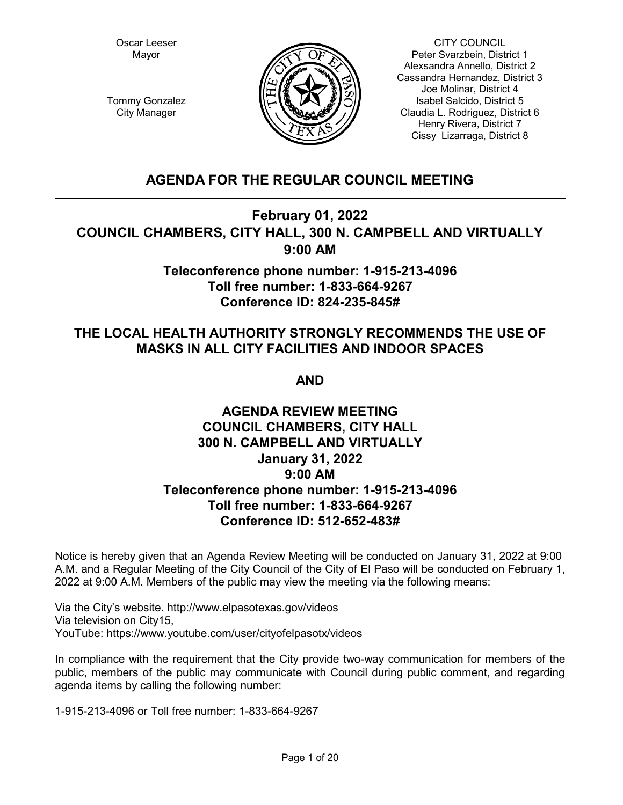Oscar Leeser Mayor



CITY COUNCIL Peter Svarzbein, District 1 Alexsandra Annello, District 2 Cassandra Hernandez, District 3 Joe Molinar, District 4 Isabel Salcido, District 5 Claudia L. Rodriguez, District 6 Henry Rivera, District 7 Cissy Lizarraga, District 8

Tommy Gonzalez City Manager

# **AGENDA FOR THE REGULAR COUNCIL MEETING**

# **February 01, 2022 COUNCIL CHAMBERS, CITY HALL, 300 N. CAMPBELL AND VIRTUALLY 9:00 AM**

# **Teleconference phone number: 1-915-213-4096 Toll free number: 1-833-664-9267 Conference ID: 824-235-845#**

# **THE LOCAL HEALTH AUTHORITY STRONGLY RECOMMENDS THE USE OF MASKS IN ALL CITY FACILITIES AND INDOOR SPACES**

**AND**

# **AGENDA REVIEW MEETING COUNCIL CHAMBERS, CITY HALL 300 N. CAMPBELL AND VIRTUALLY January 31, 2022 9:00 AM Teleconference phone number: 1-915-213-4096 Toll free number: 1-833-664-9267 Conference ID: 512-652-483#**

Notice is hereby given that an Agenda Review Meeting will be conducted on January 31, 2022 at 9:00 A.M. and a Regular Meeting of the City Council of the City of El Paso will be conducted on February 1, 2022 at 9:00 A.M. Members of the public may view the meeting via the following means:

Via the City's website. http://www.elpasotexas.gov/videos Via television on City15, YouTube: https://www.youtube.com/user/cityofelpasotx/videos

In compliance with the requirement that the City provide two-way communication for members of the public, members of the public may communicate with Council during public comment, and regarding agenda items by calling the following number:

1-915-213-4096 or Toll free number: 1-833-664-9267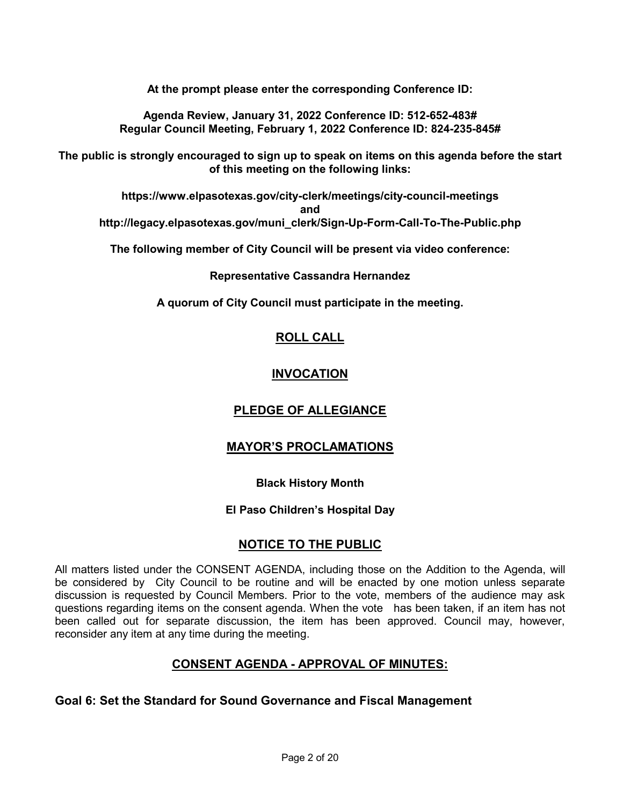**At the prompt please enter the corresponding Conference ID:**

**Agenda Review, January 31, 2022 Conference ID: 512-652-483# Regular Council Meeting, February 1, 2022 Conference ID: 824-235-845#**

**The public is strongly encouraged to sign up to speak on items on this agenda before the start of this meeting on the following links:**

**https://www.elpasotexas.gov/city-clerk/meetings/city-council-meetings and http://legacy.elpasotexas.gov/muni\_clerk/Sign-Up-Form-Call-To-The-Public.php**

**The following member of City Council will be present via video conference:**

**Representative Cassandra Hernandez**

**A quorum of City Council must participate in the meeting.**

# **ROLL CALL**

# **INVOCATION**

# **PLEDGE OF ALLEGIANCE**

# **MAYOR'S PROCLAMATIONS**

## **Black History Month**

# **El Paso Children's Hospital Day**

# **NOTICE TO THE PUBLIC**

All matters listed under the CONSENT AGENDA, including those on the Addition to the Agenda, will be considered by City Council to be routine and will be enacted by one motion unless separate discussion is requested by Council Members. Prior to the vote, members of the audience may ask questions regarding items on the consent agenda. When the vote has been taken, if an item has not been called out for separate discussion, the item has been approved. Council may, however, reconsider any item at any time during the meeting.

# **CONSENT AGENDA - APPROVAL OF MINUTES:**

# **Goal 6: Set the Standard for Sound Governance and Fiscal Management**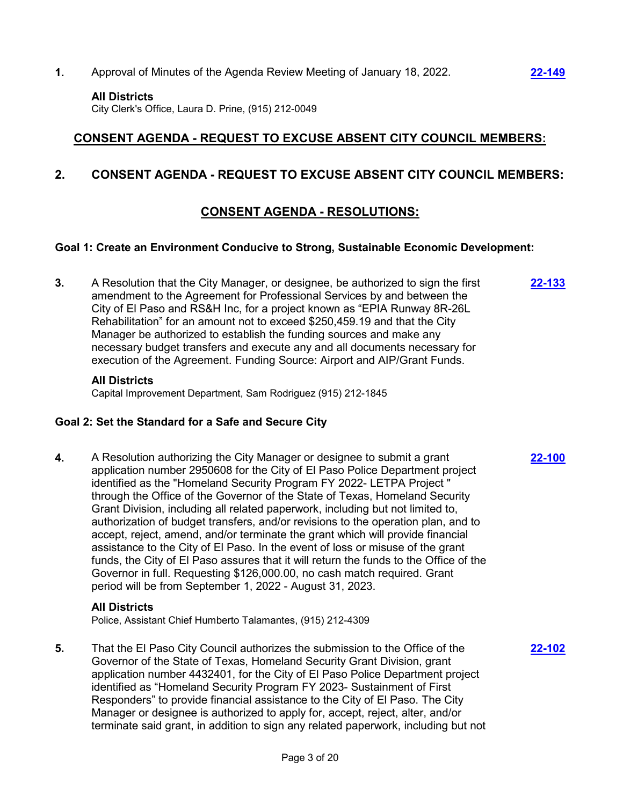**1.** Approval of Minutes of the Agenda Review Meeting of January 18, 2022. **[22-149](http://elpasotexas.legistar.com/gateway.aspx?m=l&id=/matter.aspx?key=6613)**

#### **All Districts**

City Clerk's Office, Laura D. Prine, (915) 212-0049

# **CONSENT AGENDA - REQUEST TO EXCUSE ABSENT CITY COUNCIL MEMBERS:**

# **2. CONSENT AGENDA - REQUEST TO EXCUSE ABSENT CITY COUNCIL MEMBERS:**

# **CONSENT AGENDA - RESOLUTIONS:**

## **Goal 1: Create an Environment Conducive to Strong, Sustainable Economic Development:**

**3.** A Resolution that the City Manager, or designee, be authorized to sign the first amendment to the Agreement for Professional Services by and between the City of El Paso and RS&H Inc, for a project known as "EPIA Runway 8R-26L Rehabilitation" for an amount not to exceed \$250,459.19 and that the City Manager be authorized to establish the funding sources and make any necessary budget transfers and execute any and all documents necessary for execution of the Agreement. Funding Source: Airport and AIP/Grant Funds.

## **All Districts**

Capital Improvement Department, Sam Rodriguez (915) 212-1845

## **Goal 2: Set the Standard for a Safe and Secure City**

**4.** A Resolution authorizing the City Manager or designee to submit a grant application number 2950608 for the City of El Paso Police Department project identified as the "Homeland Security Program FY 2022- LETPA Project " through the Office of the Governor of the State of Texas, Homeland Security Grant Division, including all related paperwork, including but not limited to, authorization of budget transfers, and/or revisions to the operation plan, and to accept, reject, amend, and/or terminate the grant which will provide financial assistance to the City of El Paso. In the event of loss or misuse of the grant funds, the City of El Paso assures that it will return the funds to the Office of the Governor in full. Requesting \$126,000.00, no cash match required. Grant period will be from September 1, 2022 - August 31, 2023.

## **All Districts**

Police, Assistant Chief Humberto Talamantes, (915) 212-4309

**5.** That the El Paso City Council authorizes the submission to the Office of the Governor of the State of Texas, Homeland Security Grant Division, grant application number 4432401, for the City of El Paso Police Department project identified as "Homeland Security Program FY 2023- Sustainment of First Responders" to provide financial assistance to the City of El Paso. The City Manager or designee is authorized to apply for, accept, reject, alter, and/or terminate said grant, in addition to sign any related paperwork, including but not

**[22-133](http://elpasotexas.legistar.com/gateway.aspx?m=l&id=/matter.aspx?key=6597)**

**[22-100](http://elpasotexas.legistar.com/gateway.aspx?m=l&id=/matter.aspx?key=6564)**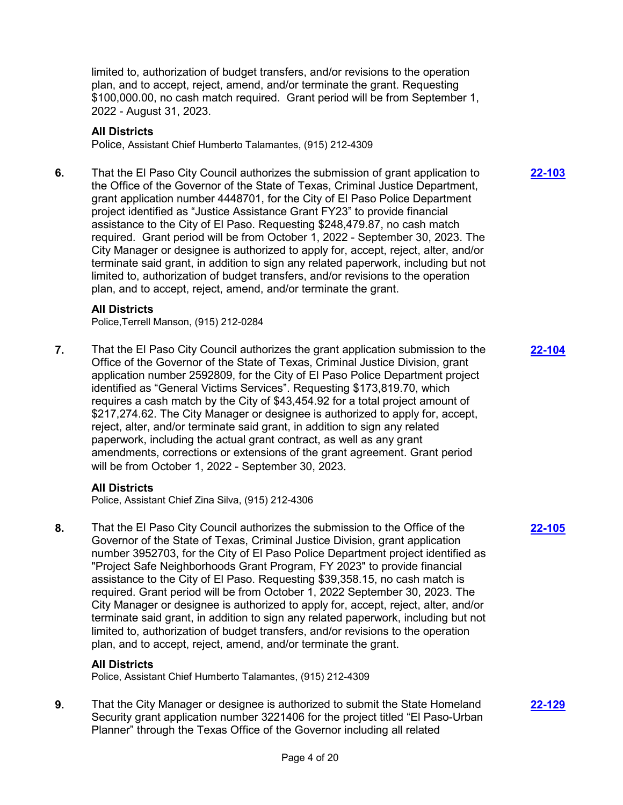limited to, authorization of budget transfers, and/or revisions to the operation plan, and to accept, reject, amend, and/or terminate the grant. Requesting \$100,000.00, no cash match required. Grant period will be from September 1, 2022 - August 31, 2023.

## **All Districts**

Police, Assistant Chief Humberto Talamantes, (915) 212-4309

**6.** That the El Paso City Council authorizes the submission of grant application to the Office of the Governor of the State of Texas, Criminal Justice Department, grant application number 4448701, for the City of El Paso Police Department project identified as "Justice Assistance Grant FY23" to provide financial assistance to the City of El Paso. Requesting \$248,479.87, no cash match required. Grant period will be from October 1, 2022 - September 30, 2023. The City Manager or designee is authorized to apply for, accept, reject, alter, and/or terminate said grant, in addition to sign any related paperwork, including but not limited to, authorization of budget transfers, and/or revisions to the operation plan, and to accept, reject, amend, and/or terminate the grant.

## **All Districts**

Police,Terrell Manson, (915) 212-0284

**7.** That the El Paso City Council authorizes the grant application submission to the Office of the Governor of the State of Texas, Criminal Justice Division, grant application number 2592809, for the City of El Paso Police Department project identified as "General Victims Services". Requesting \$173,819.70, which requires a cash match by the City of \$43,454.92 for a total project amount of \$217,274.62. The City Manager or designee is authorized to apply for, accept, reject, alter, and/or terminate said grant, in addition to sign any related paperwork, including the actual grant contract, as well as any grant amendments, corrections or extensions of the grant agreement. Grant period will be from October 1, 2022 - September 30, 2023.

## **All Districts**

Police, Assistant Chief Zina Silva, (915) 212-4306

**8.** That the El Paso City Council authorizes the submission to the Office of the Governor of the State of Texas, Criminal Justice Division, grant application number 3952703, for the City of El Paso Police Department project identified as "Project Safe Neighborhoods Grant Program, FY 2023" to provide financial assistance to the City of El Paso. Requesting \$39,358.15, no cash match is required. Grant period will be from October 1, 2022 September 30, 2023. The City Manager or designee is authorized to apply for, accept, reject, alter, and/or terminate said grant, in addition to sign any related paperwork, including but not limited to, authorization of budget transfers, and/or revisions to the operation plan, and to accept, reject, amend, and/or terminate the grant.

## **All Districts**

Police, Assistant Chief Humberto Talamantes, (915) 212-4309

**9.** That the City Manager or designee is authorized to submit the State Homeland Security grant application number 3221406 for the project titled "El Paso-Urban Planner" through the Texas Office of the Governor including all related

**[22-103](http://elpasotexas.legistar.com/gateway.aspx?m=l&id=/matter.aspx?key=6567)**

**[22-104](http://elpasotexas.legistar.com/gateway.aspx?m=l&id=/matter.aspx?key=6568)**

**[22-105](http://elpasotexas.legistar.com/gateway.aspx?m=l&id=/matter.aspx?key=6569)**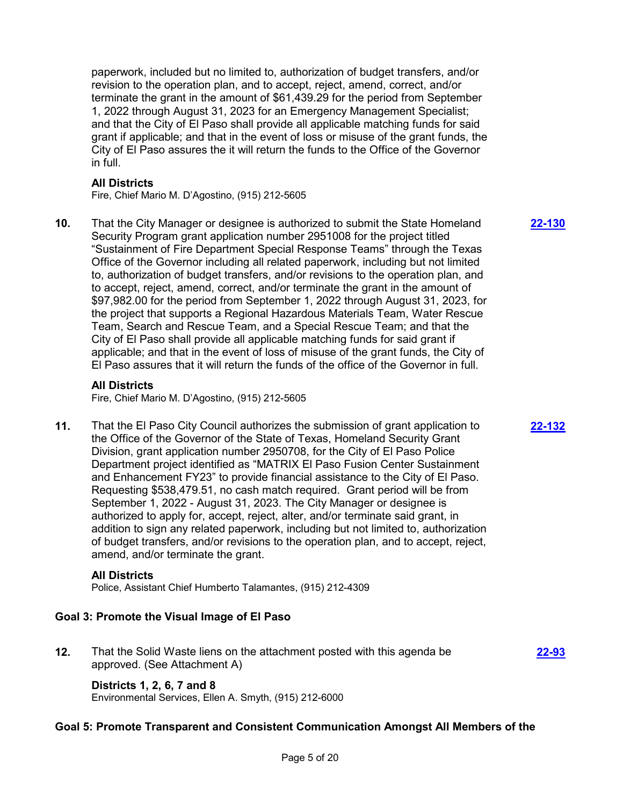paperwork, included but no limited to, authorization of budget transfers, and/or revision to the operation plan, and to accept, reject, amend, correct, and/or terminate the grant in the amount of \$61,439.29 for the period from September 1, 2022 through August 31, 2023 for an Emergency Management Specialist; and that the City of El Paso shall provide all applicable matching funds for said grant if applicable; and that in the event of loss or misuse of the grant funds, the City of El Paso assures the it will return the funds to the Office of the Governor in full.

## **All Districts**

Fire, Chief Mario M. D'Agostino, (915) 212-5605

**10.** That the City Manager or designee is authorized to submit the State Homeland Security Program grant application number 2951008 for the project titled "Sustainment of Fire Department Special Response Teams" through the Texas Office of the Governor including all related paperwork, including but not limited to, authorization of budget transfers, and/or revisions to the operation plan, and to accept, reject, amend, correct, and/or terminate the grant in the amount of \$97,982.00 for the period from September 1, 2022 through August 31, 2023, for the project that supports a Regional Hazardous Materials Team, Water Rescue Team, Search and Rescue Team, and a Special Rescue Team; and that the City of El Paso shall provide all applicable matching funds for said grant if applicable; and that in the event of loss of misuse of the grant funds, the City of El Paso assures that it will return the funds of the office of the Governor in full.

## **All Districts**

Fire, Chief Mario M. D'Agostino, (915) 212-5605

**11.** That the El Paso City Council authorizes the submission of grant application to the Office of the Governor of the State of Texas, Homeland Security Grant Division, grant application number 2950708, for the City of El Paso Police Department project identified as "MATRIX El Paso Fusion Center Sustainment and Enhancement FY23" to provide financial assistance to the City of El Paso. Requesting \$538,479.51, no cash match required. Grant period will be from September 1, 2022 - August 31, 2023. The City Manager or designee is authorized to apply for, accept, reject, alter, and/or terminate said grant, in addition to sign any related paperwork, including but not limited to, authorization of budget transfers, and/or revisions to the operation plan, and to accept, reject, amend, and/or terminate the grant.

#### **All Districts**

Police, Assistant Chief Humberto Talamantes, (915) 212-4309

## **Goal 3: Promote the Visual Image of El Paso**

**12.** That the Solid Waste liens on the attachment posted with this agenda be approved. (See Attachment A)

## **Districts 1, 2, 6, 7 and 8**

Environmental Services, Ellen A. Smyth, (915) 212-6000

## **Goal 5: Promote Transparent and Consistent Communication Amongst All Members of the**

**[22-130](http://elpasotexas.legistar.com/gateway.aspx?m=l&id=/matter.aspx?key=6594)**

## **[22-132](http://elpasotexas.legistar.com/gateway.aspx?m=l&id=/matter.aspx?key=6596)**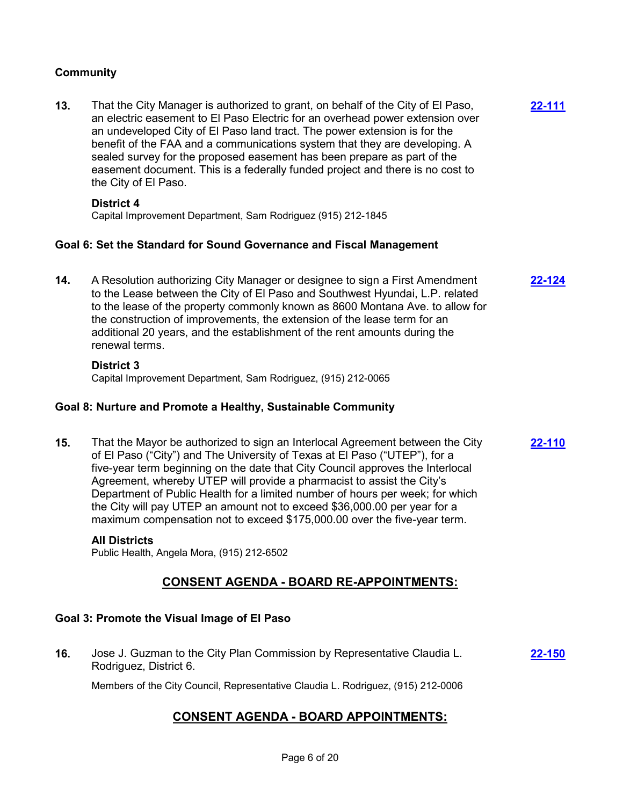## **Community**

**13.** That the City Manager is authorized to grant, on behalf of the City of El Paso, an electric easement to El Paso Electric for an overhead power extension over an undeveloped City of El Paso land tract. The power extension is for the benefit of the FAA and a communications system that they are developing. A sealed survey for the proposed easement has been prepare as part of the easement document. This is a federally funded project and there is no cost to the City of El Paso. **[22-111](http://elpasotexas.legistar.com/gateway.aspx?m=l&id=/matter.aspx?key=6575)**

#### **District 4**

Capital Improvement Department, Sam Rodriguez (915) 212-1845

## **Goal 6: Set the Standard for Sound Governance and Fiscal Management**

**14.** A Resolution authorizing City Manager or designee to sign a First Amendment to the Lease between the City of El Paso and Southwest Hyundai, L.P. related to the lease of the property commonly known as 8600 Montana Ave. to allow for the construction of improvements, the extension of the lease term for an additional 20 years, and the establishment of the rent amounts during the renewal terms. **[22-124](http://elpasotexas.legistar.com/gateway.aspx?m=l&id=/matter.aspx?key=6588)**

#### **District 3**

Capital Improvement Department, Sam Rodriguez, (915) 212-0065

## **Goal 8: Nurture and Promote a Healthy, Sustainable Community**

**15.** That the Mayor be authorized to sign an Interlocal Agreement between the City of El Paso ("City") and The University of Texas at El Paso ("UTEP"), for a five-year term beginning on the date that City Council approves the Interlocal Agreement, whereby UTEP will provide a pharmacist to assist the City's Department of Public Health for a limited number of hours per week; for which the City will pay UTEP an amount not to exceed \$36,000.00 per year for a maximum compensation not to exceed \$175,000.00 over the five-year term. **[22-110](http://elpasotexas.legistar.com/gateway.aspx?m=l&id=/matter.aspx?key=6574)**

## **All Districts**

Public Health, Angela Mora, (915) 212-6502

# **CONSENT AGENDA - BOARD RE-APPOINTMENTS:**

## **Goal 3: Promote the Visual Image of El Paso**

**16.** Jose J. Guzman to the City Plan Commission by Representative Claudia L. Rodriguez, District 6. **[22-150](http://elpasotexas.legistar.com/gateway.aspx?m=l&id=/matter.aspx?key=6614)**

Members of the City Council, Representative Claudia L. Rodriguez, (915) 212-0006

# **CONSENT AGENDA - BOARD APPOINTMENTS:**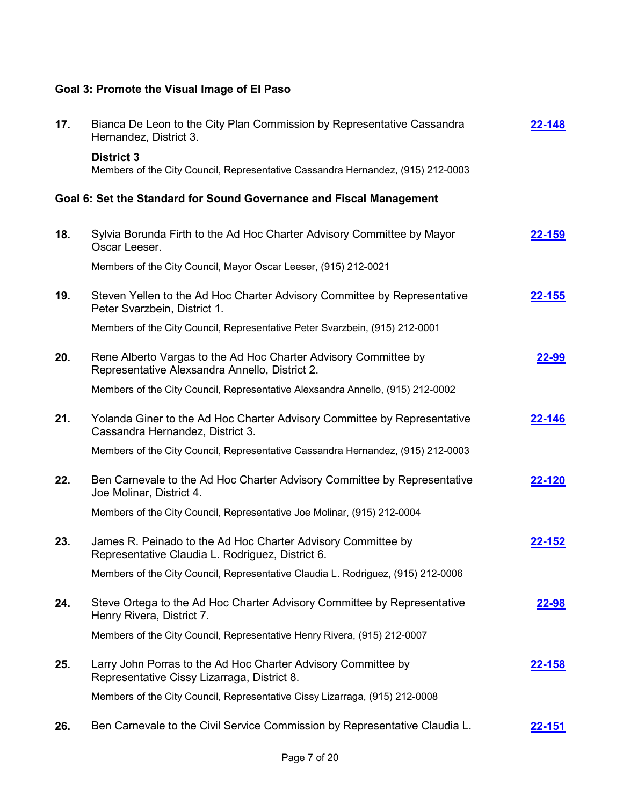# **Goal 3: Promote the Visual Image of El Paso**

| 17. | Bianca De Leon to the City Plan Commission by Representative Cassandra<br>Hernandez, District 3.                  | 2-148         |
|-----|-------------------------------------------------------------------------------------------------------------------|---------------|
|     | <b>District 3</b><br>Members of the City Council, Representative Cassandra Hernandez, (915) 212-0003              |               |
|     | Goal 6: Set the Standard for Sound Governance and Fiscal Management                                               |               |
| 18. | Sylvia Borunda Firth to the Ad Hoc Charter Advisory Committee by Mayor<br>Oscar Leeser.                           | 22-159        |
|     | Members of the City Council, Mayor Oscar Leeser, (915) 212-0021                                                   |               |
| 19. | Steven Yellen to the Ad Hoc Charter Advisory Committee by Representative<br>Peter Svarzbein, District 1.          | <u>22-155</u> |
|     | Members of the City Council, Representative Peter Svarzbein, (915) 212-0001                                       |               |
| 20. | Rene Alberto Vargas to the Ad Hoc Charter Advisory Committee by<br>Representative Alexsandra Annello, District 2. | <b>22-99</b>  |
|     | Members of the City Council, Representative Alexsandra Annello, (915) 212-0002                                    |               |
| 21. | Yolanda Giner to the Ad Hoc Charter Advisory Committee by Representative<br>Cassandra Hernandez, District 3.      | 22-146        |
|     | Members of the City Council, Representative Cassandra Hernandez, (915) 212-0003                                   |               |
| 22. | Ben Carnevale to the Ad Hoc Charter Advisory Committee by Representative<br>Joe Molinar, District 4.              | 22-120        |
|     | Members of the City Council, Representative Joe Molinar, (915) 212-0004                                           |               |
| 23. | James R. Peinado to the Ad Hoc Charter Advisory Committee by<br>Representative Claudia L. Rodriguez, District 6.  | 22-152        |
|     | Members of the City Council, Representative Claudia L. Rodriguez, (915) 212-0006                                  |               |
| 24. | Steve Ortega to the Ad Hoc Charter Advisory Committee by Representative<br>Henry Rivera, District 7.              | <u>22-98</u>  |
|     | Members of the City Council, Representative Henry Rivera, (915) 212-0007                                          |               |
| 25. | Larry John Porras to the Ad Hoc Charter Advisory Committee by<br>Representative Cissy Lizarraga, District 8.      | <u>22-158</u> |
|     | Members of the City Council, Representative Cissy Lizarraga, (915) 212-0008                                       |               |
| 26. | Ben Carnevale to the Civil Service Commission by Representative Claudia L.                                        | 22-151        |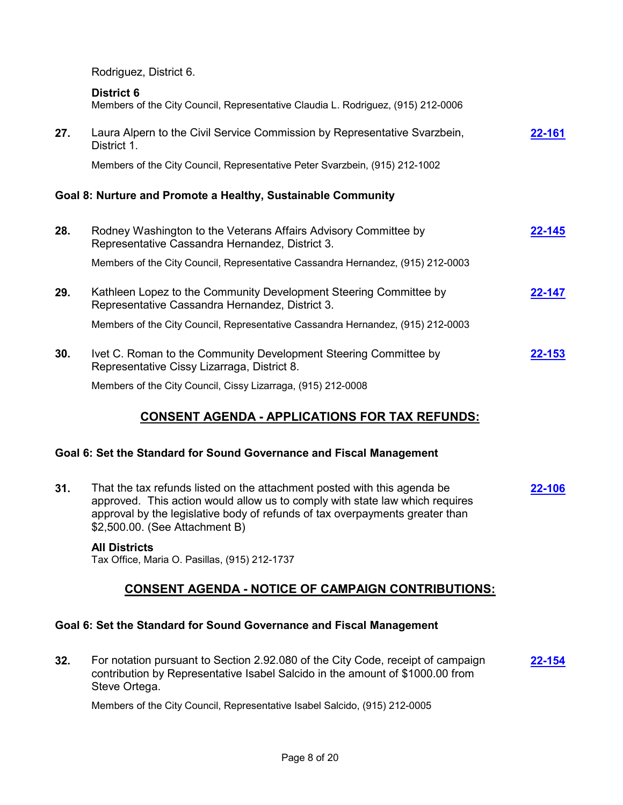Rodriguez, District 6.

|     | <b>District 6</b><br>Members of the City Council, Representative Claudia L. Rodriguez, (915) 212-0006                |               |
|-----|----------------------------------------------------------------------------------------------------------------------|---------------|
| 27. | Laura Alpern to the Civil Service Commission by Representative Svarzbein,<br>District 1.                             | 22-161        |
|     | Members of the City Council, Representative Peter Svarzbein, (915) 212-1002                                          |               |
|     | Goal 8: Nurture and Promote a Healthy, Sustainable Community                                                         |               |
| 28. | Rodney Washington to the Veterans Affairs Advisory Committee by<br>Representative Cassandra Hernandez, District 3.   | <b>22-145</b> |
|     | Members of the City Council, Representative Cassandra Hernandez, (915) 212-0003                                      |               |
| 29. | Kathleen Lopez to the Community Development Steering Committee by<br>Representative Cassandra Hernandez, District 3. | 22-147        |
|     | Members of the City Council, Representative Cassandra Hernandez, (915) 212-0003                                      |               |
| 30. | Ivet C. Roman to the Community Development Steering Committee by<br>Representative Cissy Lizarraga, District 8.      | $22 - 153$    |
|     | Members of the City Council, Cissy Lizarraga, (915) 212-0008                                                         |               |

# **CONSENT AGENDA - APPLICATIONS FOR TAX REFUNDS:**

# **Goal 6: Set the Standard for Sound Governance and Fiscal Management**

**31.** That the tax refunds listed on the attachment posted with this agenda be approved. This action would allow us to comply with state law which requires approval by the legislative body of refunds of tax overpayments greater than \$2,500.00. (See Attachment B) **[22-106](http://elpasotexas.legistar.com/gateway.aspx?m=l&id=/matter.aspx?key=6570)**

## **All Districts**

Tax Office, Maria O. Pasillas, (915) 212-1737

# **CONSENT AGENDA - NOTICE OF CAMPAIGN CONTRIBUTIONS:**

## **Goal 6: Set the Standard for Sound Governance and Fiscal Management**

**32.** For notation pursuant to Section 2.92.080 of the City Code, receipt of campaign contribution by Representative Isabel Salcido in the amount of \$1000.00 from Steve Ortega. **[22-154](http://elpasotexas.legistar.com/gateway.aspx?m=l&id=/matter.aspx?key=6618)**

Members of the City Council, Representative Isabel Salcido, (915) 212-0005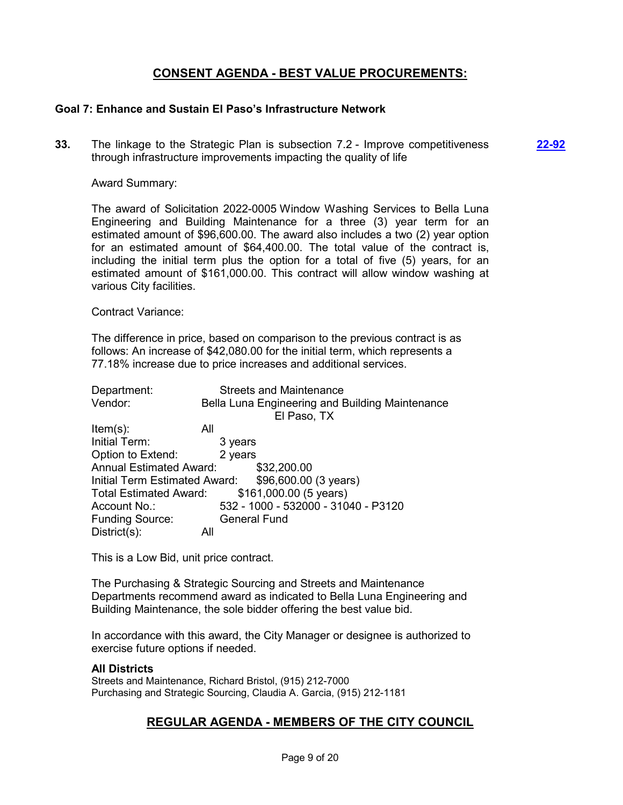# **CONSENT AGENDA - BEST VALUE PROCUREMENTS:**

**[22-92](http://elpasotexas.legistar.com/gateway.aspx?m=l&id=/matter.aspx?key=6556)**

## **Goal 7: Enhance and Sustain El Paso's Infrastructure Network**

**33.** The linkage to the Strategic Plan is subsection 7.2 - Improve competitiveness through infrastructure improvements impacting the quality of life

## Award Summary:

The award of Solicitation 2022-0005 Window Washing Services to Bella Luna Engineering and Building Maintenance for a three (3) year term for an estimated amount of \$96,600.00. The award also includes a two (2) year option for an estimated amount of \$64,400.00. The total value of the contract is, including the initial term plus the option for a total of five (5) years, for an estimated amount of \$161,000.00. This contract will allow window washing at various City facilities.

#### Contract Variance:

The difference in price, based on comparison to the previous contract is as follows: An increase of \$42,080.00 for the initial term, which represents a 77.18% increase due to price increases and additional services.

| Department:                    | <b>Streets and Maintenance</b>                      |
|--------------------------------|-----------------------------------------------------|
| Vendor:                        | Bella Luna Engineering and Building Maintenance     |
|                                | El Paso, TX                                         |
| $Item(s)$ :                    | All                                                 |
| Initial Term:                  | 3 years                                             |
| Option to Extend:              | 2 years                                             |
| <b>Annual Estimated Award:</b> | \$32,200.00                                         |
|                                | Initial Term Estimated Award: \$96,600.00 (3 years) |
| <b>Total Estimated Award:</b>  | \$161,000.00 (5 years)                              |
| Account No.:                   | 532 - 1000 - 532000 - 31040 - P3120                 |
| <b>Funding Source:</b>         | <b>General Fund</b>                                 |
| $District(s)$ :                | All                                                 |

This is a Low Bid, unit price contract.

The Purchasing & Strategic Sourcing and Streets and Maintenance Departments recommend award as indicated to Bella Luna Engineering and Building Maintenance, the sole bidder offering the best value bid.

In accordance with this award, the City Manager or designee is authorized to exercise future options if needed.

## **All Districts**

Streets and Maintenance, Richard Bristol, (915) 212-7000 Purchasing and Strategic Sourcing, Claudia A. Garcia, (915) 212-1181

## **REGULAR AGENDA - MEMBERS OF THE CITY COUNCIL**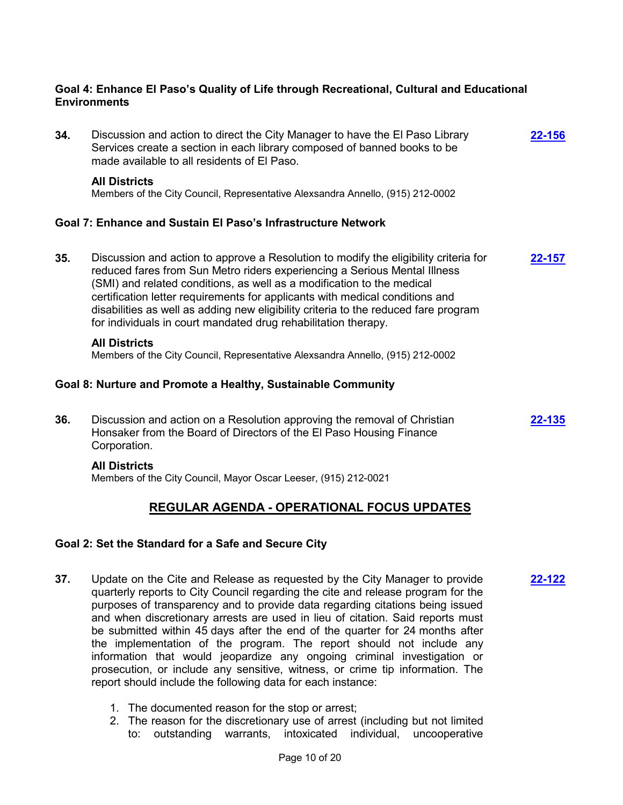## **Goal 4: Enhance El Paso's Quality of Life through Recreational, Cultural and Educational Environments**

**34.** Discussion and action to direct the City Manager to have the El Paso Library Services create a section in each library composed of banned books to be made available to all residents of El Paso. **[22-156](http://elpasotexas.legistar.com/gateway.aspx?m=l&id=/matter.aspx?key=6620) All Districts** Members of the City Council, Representative Alexsandra Annello, (915) 212-0002 **Goal 7: Enhance and Sustain El Paso's Infrastructure Network 35.** Discussion and action to approve a Resolution to modify the eligibility criteria for reduced fares from Sun Metro riders experiencing a Serious Mental Illness (SMI) and related conditions, as well as a modification to the medical certification letter requirements for applicants with medical conditions and disabilities as well as adding new eligibility criteria to the reduced fare program for individuals in court mandated drug rehabilitation therapy. **[22-157](http://elpasotexas.legistar.com/gateway.aspx?m=l&id=/matter.aspx?key=6621) All Districts** Members of the City Council, Representative Alexsandra Annello, (915) 212-0002

## **Goal 8: Nurture and Promote a Healthy, Sustainable Community**

**36.** Discussion and action on a Resolution approving the removal of Christian Honsaker from the Board of Directors of the El Paso Housing Finance Corporation. **[22-135](http://elpasotexas.legistar.com/gateway.aspx?m=l&id=/matter.aspx?key=6599)**

## **All Districts**

Members of the City Council, Mayor Oscar Leeser, (915) 212-0021

# **REGULAR AGENDA - OPERATIONAL FOCUS UPDATES**

## **Goal 2: Set the Standard for a Safe and Secure City**

- **37.** Update on the Cite and Release as requested by the City Manager to provide quarterly reports to City Council regarding the cite and release program for the purposes of transparency and to provide data regarding citations being issued and when discretionary arrests are used in lieu of citation. Said reports must be submitted within 45 days after the end of the quarter for 24 months after the implementation of the program. The report should not include any information that would jeopardize any ongoing criminal investigation or prosecution, or include any sensitive, witness, or crime tip information. The report should include the following data for each instance: **[22-122](http://elpasotexas.legistar.com/gateway.aspx?m=l&id=/matter.aspx?key=6586)**
	- 1. The documented reason for the stop or arrest;
	- 2. The reason for the discretionary use of arrest (including but not limited to: outstanding warrants, intoxicated individual, uncooperative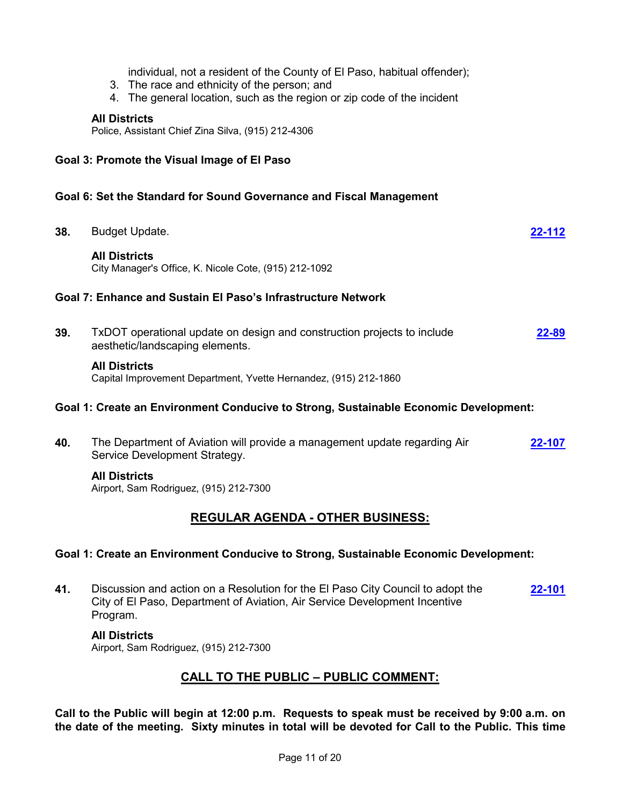individual, not a resident of the County of El Paso, habitual offender);

- 3. The race and ethnicity of the person; and
- 4. The general location, such as the region or zip code of the incident

#### **All Districts**

Police, Assistant Chief Zina Silva, (915) 212-4306

## **Goal 3: Promote the Visual Image of El Paso**

## **Goal 6: Set the Standard for Sound Governance and Fiscal Management**

**38.** Budget Update. **[22-112](http://elpasotexas.legistar.com/gateway.aspx?m=l&id=/matter.aspx?key=6576) All Districts** City Manager's Office, K. Nicole Cote, (915) 212-1092 **Goal 7: Enhance and Sustain El Paso's Infrastructure Network 39.** TxDOT operational update on design and construction projects to include aesthetic/landscaping elements. **[22-89](http://elpasotexas.legistar.com/gateway.aspx?m=l&id=/matter.aspx?key=6553) All Districts** Capital Improvement Department, Yvette Hernandez, (915) 212-1860 **Goal 1: Create an Environment Conducive to Strong, Sustainable Economic Development:**

#### **40.** The Department of Aviation will provide a management update regarding Air Service Development Strategy. **[22-107](http://elpasotexas.legistar.com/gateway.aspx?m=l&id=/matter.aspx?key=6571)**

## **All Districts**

Airport, Sam Rodriguez, (915) 212-7300

# **REGULAR AGENDA - OTHER BUSINESS:**

## **Goal 1: Create an Environment Conducive to Strong, Sustainable Economic Development:**

**41.** Discussion and action on a Resolution for the El Paso City Council to adopt the City of El Paso, Department of Aviation, Air Service Development Incentive Program. **[22-101](http://elpasotexas.legistar.com/gateway.aspx?m=l&id=/matter.aspx?key=6565)**

#### **All Districts**

Airport, Sam Rodriguez, (915) 212-7300

# **CALL TO THE PUBLIC – PUBLIC COMMENT:**

**Call to the Public will begin at 12:00 p.m. Requests to speak must be received by 9:00 a.m. on the date of the meeting. Sixty minutes in total will be devoted for Call to the Public. This time**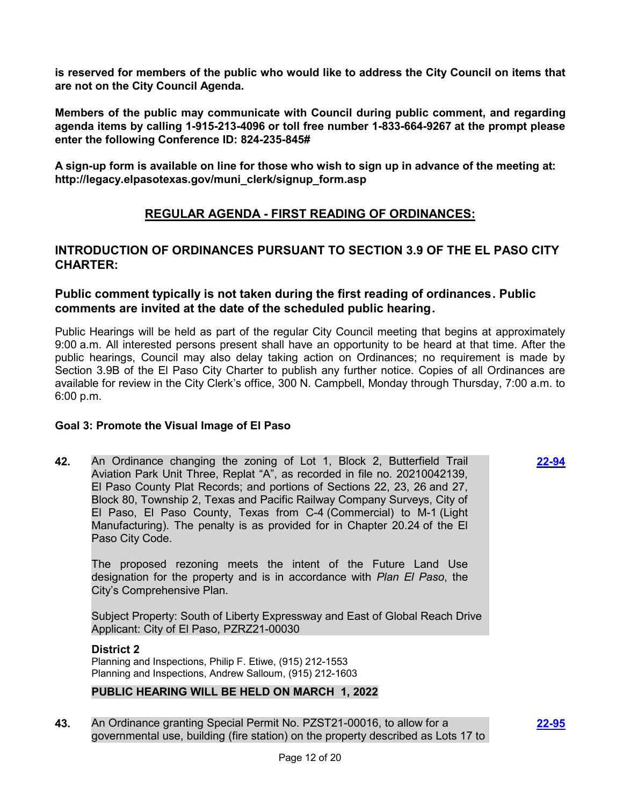**is reserved for members of the public who would like to address the City Council on items that are not on the City Council Agenda.**

**Members of the public may communicate with Council during public comment, and regarding agenda items by calling 1-915-213-4096 or toll free number 1-833-664-9267 at the prompt please enter the following Conference ID: 824-235-845#**

**A sign-up form is available on line for those who wish to sign up in advance of the meeting at: http://legacy.elpasotexas.gov/muni\_clerk/signup\_form.asp**

# **REGULAR AGENDA - FIRST READING OF ORDINANCES:**

# **INTRODUCTION OF ORDINANCES PURSUANT TO SECTION 3.9 OF THE EL PASO CITY CHARTER:**

## **Public comment typically is not taken during the first reading of ordinances. Public comments are invited at the date of the scheduled public hearing.**

Public Hearings will be held as part of the regular City Council meeting that begins at approximately 9:00 a.m. All interested persons present shall have an opportunity to be heard at that time. After the public hearings, Council may also delay taking action on Ordinances; no requirement is made by Section 3.9B of the El Paso City Charter to publish any further notice. Copies of all Ordinances are available for review in the City Clerk's office, 300 N. Campbell, Monday through Thursday, 7:00 a.m. to 6:00 p.m.

## **Goal 3: Promote the Visual Image of El Paso**

**42.** An Ordinance changing the zoning of Lot 1, Block 2, Butterfield Trail Aviation Park Unit Three, Replat "A", as recorded in file no. 20210042139, El Paso County Plat Records; and portions of Sections 22, 23, 26 and 27, Block 80, Township 2, Texas and Pacific Railway Company Surveys, City of El Paso, El Paso County, Texas from C-4 (Commercial) to M-1 (Light Manufacturing). The penalty is as provided for in Chapter 20.24 of the El Paso City Code.

The proposed rezoning meets the intent of the Future Land Use designation for the property and is in accordance with *Plan El Paso*, the City's Comprehensive Plan.

Subject Property: South of Liberty Expressway and East of Global Reach Drive Applicant: City of El Paso, PZRZ21-00030

## **District 2**

Planning and Inspections, Philip F. Etiwe, (915) 212-1553 Planning and Inspections, Andrew Salloum, (915) 212-1603

## **PUBLIC HEARING WILL BE HELD ON MARCH 1, 2022**

**43.** An Ordinance granting Special Permit No. PZST21-00016, to allow for a governmental use, building (fire station) on the property described as Lots 17 to **[22-95](http://elpasotexas.legistar.com/gateway.aspx?m=l&id=/matter.aspx?key=6559)**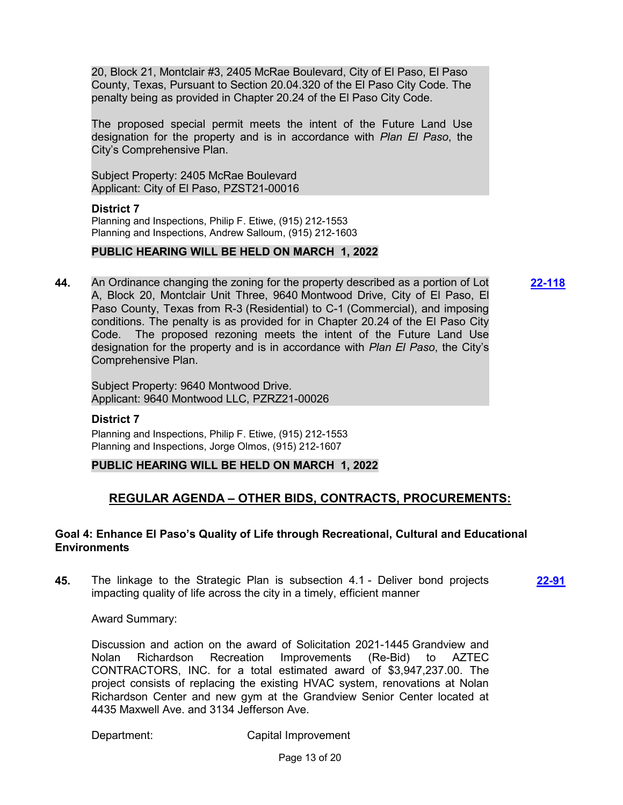20, Block 21, Montclair #3, 2405 McRae Boulevard, City of El Paso, El Paso County, Texas, Pursuant to Section 20.04.320 of the El Paso City Code. The penalty being as provided in Chapter 20.24 of the El Paso City Code.

The proposed special permit meets the intent of the Future Land Use designation for the property and is in accordance with *Plan El Paso*, the City's Comprehensive Plan.

Subject Property: 2405 McRae Boulevard Applicant: City of El Paso, PZST21-00016

## **District 7**

Planning and Inspections, Philip F. Etiwe, (915) 212-1553 Planning and Inspections, Andrew Salloum, (915) 212-1603

## **PUBLIC HEARING WILL BE HELD ON MARCH 1, 2022**

**44.** An Ordinance changing the zoning for the property described as a portion of Lot A, Block 20, Montclair Unit Three, 9640 Montwood Drive, City of El Paso, El Paso County, Texas from R-3 (Residential) to C-1 (Commercial), and imposing conditions. The penalty is as provided for in Chapter 20.24 of the El Paso City Code. The proposed rezoning meets the intent of the Future Land Use designation for the property and is in accordance with *Plan El Paso*, the City's Comprehensive Plan.

**[22-118](http://elpasotexas.legistar.com/gateway.aspx?m=l&id=/matter.aspx?key=6582)**

Subject Property: 9640 Montwood Drive. Applicant: 9640 Montwood LLC, PZRZ21-00026

## **District 7**

Planning and Inspections, Philip F. Etiwe, (915) 212-1553 Planning and Inspections, Jorge Olmos, (915) 212-1607

## **PUBLIC HEARING WILL BE HELD ON MARCH 1, 2022**

# **REGULAR AGENDA – OTHER BIDS, CONTRACTS, PROCUREMENTS:**

## **Goal 4: Enhance El Paso's Quality of Life through Recreational, Cultural and Educational Environments**

**45.** The linkage to the Strategic Plan is subsection 4.1 - Deliver bond projects impacting quality of life across the city in a timely, efficient manner

**[22-91](http://elpasotexas.legistar.com/gateway.aspx?m=l&id=/matter.aspx?key=6555)**

Award Summary:

Discussion and action on the award of Solicitation 2021-1445 Grandview and Nolan Richardson Recreation Improvements (Re-Bid) to AZTEC CONTRACTORS, INC. for a total estimated award of \$3,947,237.00. The project consists of replacing the existing HVAC system, renovations at Nolan Richardson Center and new gym at the Grandview Senior Center located at 4435 Maxwell Ave. and 3134 Jefferson Ave.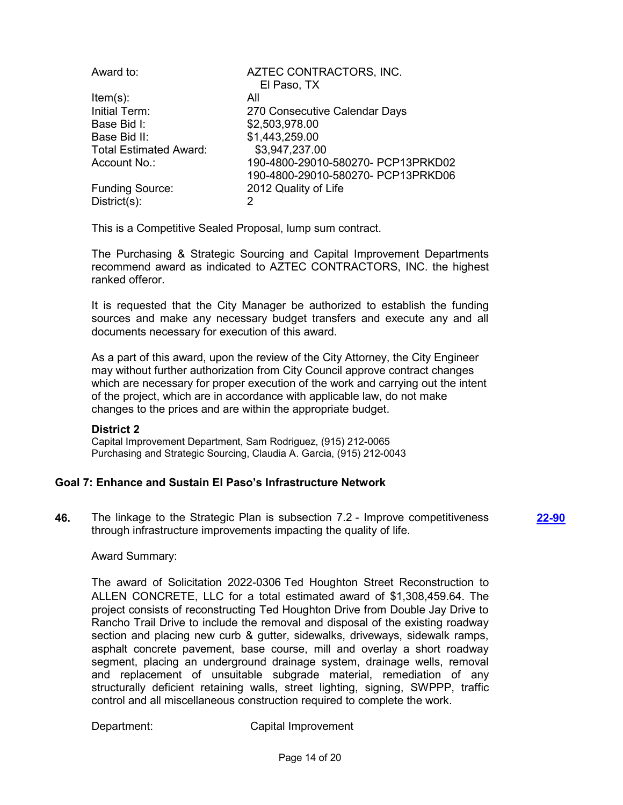| Award to:                     | AZTEC CONTRACTORS, INC.            |
|-------------------------------|------------------------------------|
|                               | El Paso, TX                        |
| $Item(s)$ :                   | All                                |
| Initial Term:                 | 270 Consecutive Calendar Days      |
| Base Bid I:                   | \$2,503,978.00                     |
| Base Bid II:                  | \$1,443,259.00                     |
| <b>Total Estimated Award:</b> | \$3,947,237.00                     |
| Account No.:                  | 190-4800-29010-580270- PCP13PRKD02 |
|                               | 190-4800-29010-580270- PCP13PRKD06 |
| <b>Funding Source:</b>        | 2012 Quality of Life               |
| $District(s)$ :               | 2                                  |
|                               |                                    |

This is a Competitive Sealed Proposal, lump sum contract.

The Purchasing & Strategic Sourcing and Capital Improvement Departments recommend award as indicated to AZTEC CONTRACTORS, INC. the highest ranked offeror.

It is requested that the City Manager be authorized to establish the funding sources and make any necessary budget transfers and execute any and all documents necessary for execution of this award.

As a part of this award, upon the review of the City Attorney, the City Engineer may without further authorization from City Council approve contract changes which are necessary for proper execution of the work and carrying out the intent of the project, which are in accordance with applicable law, do not make changes to the prices and are within the appropriate budget.

## **District 2**

Capital Improvement Department, Sam Rodriguez, (915) 212-0065 Purchasing and Strategic Sourcing, Claudia A. Garcia, (915) 212-0043

## **Goal 7: Enhance and Sustain El Paso's Infrastructure Network**

**46.** The linkage to the Strategic Plan is subsection 7.2 - Improve competitiveness through infrastructure improvements impacting the quality of life.

**[22-90](http://elpasotexas.legistar.com/gateway.aspx?m=l&id=/matter.aspx?key=6554)**

## Award Summary:

The award of Solicitation 2022-0306 Ted Houghton Street Reconstruction to ALLEN CONCRETE, LLC for a total estimated award of \$1,308,459.64. The project consists of reconstructing Ted Houghton Drive from Double Jay Drive to Rancho Trail Drive to include the removal and disposal of the existing roadway section and placing new curb & gutter, sidewalks, driveways, sidewalk ramps, asphalt concrete pavement, base course, mill and overlay a short roadway segment, placing an underground drainage system, drainage wells, removal and replacement of unsuitable subgrade material, remediation of any structurally deficient retaining walls, street lighting, signing, SWPPP, traffic control and all miscellaneous construction required to complete the work.

Department: Capital Improvement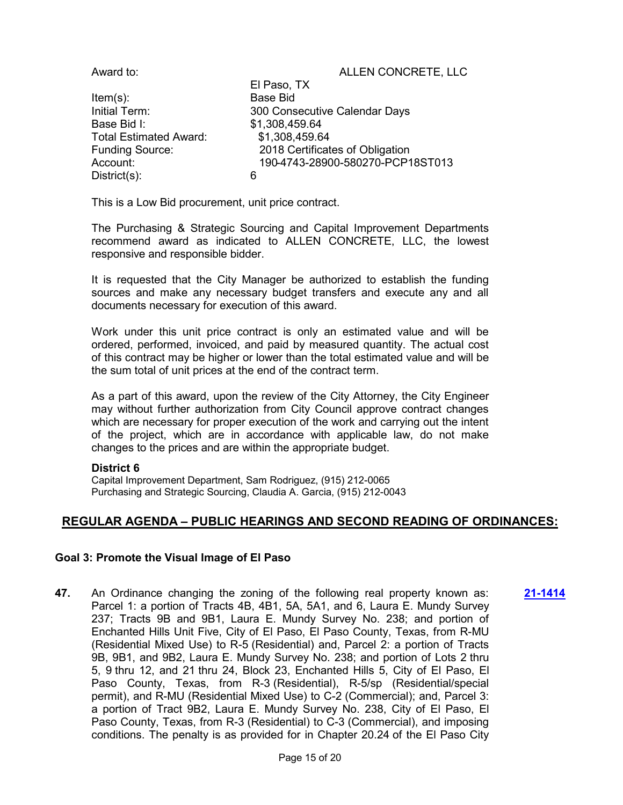| Award to:                     | ALLEN CONCRETE, LLC              |
|-------------------------------|----------------------------------|
|                               | El Paso, TX                      |
| $Item(s)$ :                   | <b>Base Bid</b>                  |
| Initial Term:                 | 300 Consecutive Calendar Days    |
| Base Bid I:                   | \$1,308,459.64                   |
| <b>Total Estimated Award:</b> | \$1,308,459.64                   |
| <b>Funding Source:</b>        | 2018 Certificates of Obligation  |
| Account:                      | 190-4743-28900-580270-PCP18ST013 |
| $Distribt(s)$ :               | 6                                |

This is a Low Bid procurement, unit price contract.

The Purchasing & Strategic Sourcing and Capital Improvement Departments recommend award as indicated to ALLEN CONCRETE, LLC, the lowest responsive and responsible bidder.

It is requested that the City Manager be authorized to establish the funding sources and make any necessary budget transfers and execute any and all documents necessary for execution of this award.

Work under this unit price contract is only an estimated value and will be ordered, performed, invoiced, and paid by measured quantity. The actual cost of this contract may be higher or lower than the total estimated value and will be the sum total of unit prices at the end of the contract term.

As a part of this award, upon the review of the City Attorney, the City Engineer may without further authorization from City Council approve contract changes which are necessary for proper execution of the work and carrying out the intent of the project, which are in accordance with applicable law, do not make changes to the prices and are within the appropriate budget.

## **District 6**

Capital Improvement Department, Sam Rodriguez, (915) 212-0065 Purchasing and Strategic Sourcing, Claudia A. Garcia, (915) 212-0043

# **REGULAR AGENDA – PUBLIC HEARINGS AND SECOND READING OF ORDINANCES:**

## **Goal 3: Promote the Visual Image of El Paso**

**47.** An Ordinance changing the zoning of the following real property known as: Parcel 1: a portion of Tracts 4B, 4B1, 5A, 5A1, and 6, Laura E. Mundy Survey 237; Tracts 9B and 9B1, Laura E. Mundy Survey No. 238; and portion of Enchanted Hills Unit Five, City of El Paso, El Paso County, Texas, from R-MU (Residential Mixed Use) to R-5 (Residential) and, Parcel 2: a portion of Tracts 9B, 9B1, and 9B2, Laura E. Mundy Survey No. 238; and portion of Lots 2 thru 5, 9 thru 12, and 21 thru 24, Block 23, Enchanted Hills 5, City of El Paso, El Paso County, Texas, from R-3 (Residential), R-5/sp (Residential/special permit), and R-MU (Residential Mixed Use) to C-2 (Commercial); and, Parcel 3: a portion of Tract 9B2, Laura E. Mundy Survey No. 238, City of El Paso, El Paso County, Texas, from R-3 (Residential) to C-3 (Commercial), and imposing conditions. The penalty is as provided for in Chapter 20.24 of the El Paso City **[21-1414](http://elpasotexas.legistar.com/gateway.aspx?m=l&id=/matter.aspx?key=6426)**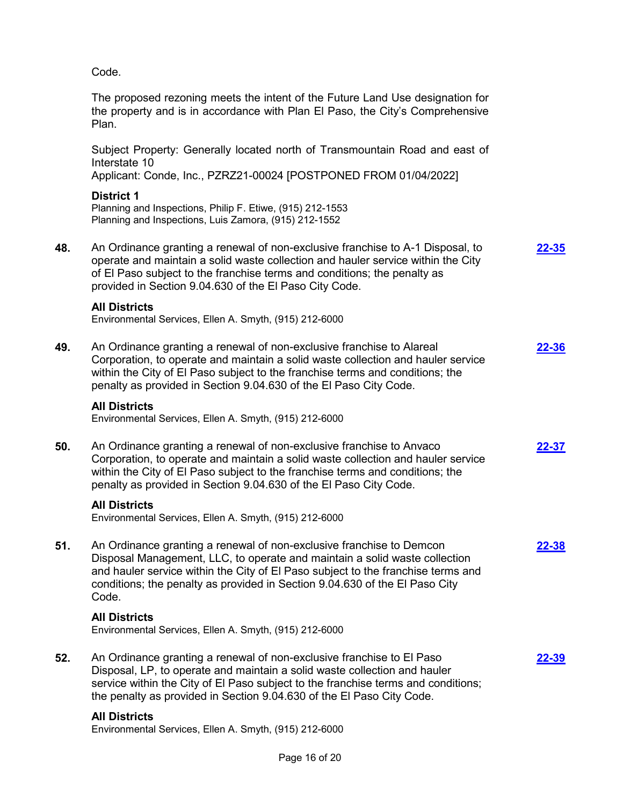Code.

The proposed rezoning meets the intent of the Future Land Use designation for the property and is in accordance with Plan El Paso, the City's Comprehensive Plan.

Subject Property: Generally located north of Transmountain Road and east of Interstate 10

Applicant: Conde, Inc., PZRZ21-00024 [POSTPONED FROM 01/04/2022]

## **District 1**

Planning and Inspections, Philip F. Etiwe, (915) 212-1553 Planning and Inspections, Luis Zamora, (915) 212-1552

**48.** An Ordinance granting a renewal of non-exclusive franchise to A-1 Disposal, to operate and maintain a solid waste collection and hauler service within the City of El Paso subject to the franchise terms and conditions; the penalty as provided in Section 9.04.630 of the El Paso City Code. **[22-35](http://elpasotexas.legistar.com/gateway.aspx?m=l&id=/matter.aspx?key=6499)**

#### **All Districts**

Environmental Services, Ellen A. Smyth, (915) 212-6000

**49.** An Ordinance granting a renewal of non-exclusive franchise to Alareal Corporation, to operate and maintain a solid waste collection and hauler service within the City of El Paso subject to the franchise terms and conditions; the penalty as provided in Section 9.04.630 of the El Paso City Code. **[22-36](http://elpasotexas.legistar.com/gateway.aspx?m=l&id=/matter.aspx?key=6500)**

#### **All Districts**

Environmental Services, Ellen A. Smyth, (915) 212-6000

**50.** An Ordinance granting a renewal of non-exclusive franchise to Anvaco Corporation, to operate and maintain a solid waste collection and hauler service within the City of El Paso subject to the franchise terms and conditions; the penalty as provided in Section 9.04.630 of the El Paso City Code. **[22-37](http://elpasotexas.legistar.com/gateway.aspx?m=l&id=/matter.aspx?key=6501)**

## **All Districts**

Environmental Services, Ellen A. Smyth, (915) 212-6000

**51.** An Ordinance granting a renewal of non-exclusive franchise to Demcon Disposal Management, LLC, to operate and maintain a solid waste collection and hauler service within the City of El Paso subject to the franchise terms and conditions; the penalty as provided in Section 9.04.630 of the El Paso City Code. **[22-38](http://elpasotexas.legistar.com/gateway.aspx?m=l&id=/matter.aspx?key=6502)**

## **All Districts**

Environmental Services, Ellen A. Smyth, (915) 212-6000

**52.** An Ordinance granting a renewal of non-exclusive franchise to El Paso Disposal, LP, to operate and maintain a solid waste collection and hauler service within the City of El Paso subject to the franchise terms and conditions; the penalty as provided in Section 9.04.630 of the El Paso City Code. **[22-39](http://elpasotexas.legistar.com/gateway.aspx?m=l&id=/matter.aspx?key=6503)**

## **All Districts**

Environmental Services, Ellen A. Smyth, (915) 212-6000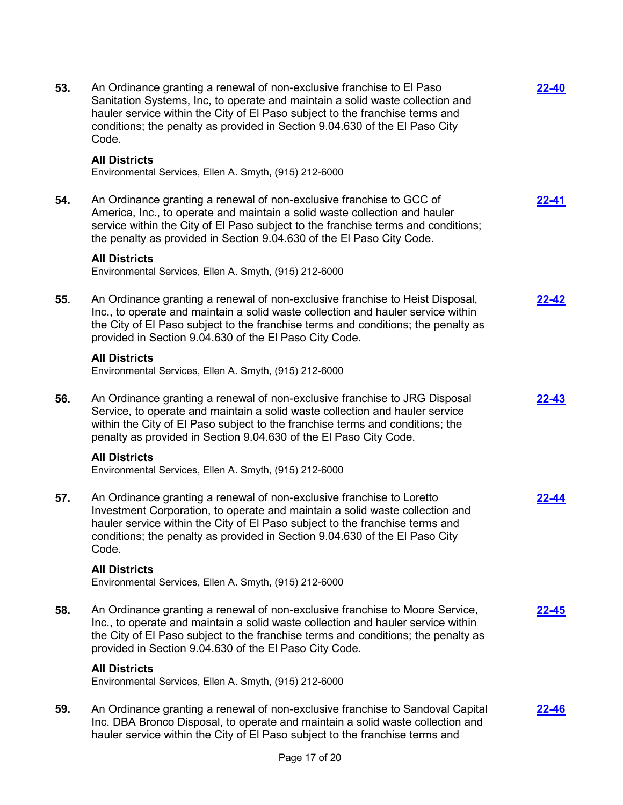| 53. | An Ordinance granting a renewal of non-exclusive franchise to El Paso<br>Sanitation Systems, Inc, to operate and maintain a solid waste collection and<br>hauler service within the City of El Paso subject to the franchise terms and<br>conditions; the penalty as provided in Section 9.04.630 of the El Paso City<br>Code. | <b>22-40</b> |
|-----|--------------------------------------------------------------------------------------------------------------------------------------------------------------------------------------------------------------------------------------------------------------------------------------------------------------------------------|--------------|
|     | <b>All Districts</b><br>Environmental Services, Ellen A. Smyth, (915) 212-6000                                                                                                                                                                                                                                                 |              |
| 54. | An Ordinance granting a renewal of non-exclusive franchise to GCC of<br>America, Inc., to operate and maintain a solid waste collection and hauler<br>service within the City of El Paso subject to the franchise terms and conditions;<br>the penalty as provided in Section 9.04.630 of the El Paso City Code.               | <u>22-41</u> |
|     | <b>All Districts</b><br>Environmental Services, Ellen A. Smyth, (915) 212-6000                                                                                                                                                                                                                                                 |              |
| 55. | An Ordinance granting a renewal of non-exclusive franchise to Heist Disposal,<br>Inc., to operate and maintain a solid waste collection and hauler service within<br>the City of El Paso subject to the franchise terms and conditions; the penalty as<br>provided in Section 9.04.630 of the El Paso City Code.               | 22-42        |
|     | <b>All Districts</b><br>Environmental Services, Ellen A. Smyth, (915) 212-6000                                                                                                                                                                                                                                                 |              |
| 56. | An Ordinance granting a renewal of non-exclusive franchise to JRG Disposal<br>Service, to operate and maintain a solid waste collection and hauler service<br>within the City of El Paso subject to the franchise terms and conditions; the<br>penalty as provided in Section 9.04.630 of the El Paso City Code.               | <u>22-43</u> |
|     | <b>All Districts</b><br>Environmental Services, Ellen A. Smyth, (915) 212-6000                                                                                                                                                                                                                                                 |              |
| 57. | An Ordinance granting a renewal of non-exclusive franchise to Loretto<br>Investment Corporation, to operate and maintain a solid waste collection and<br>hauler service within the City of El Paso subject to the franchise terms and<br>conditions; the penalty as provided in Section 9.04.630 of the El Paso City<br>Code.  | 22-44        |
|     | <b>All Districts</b><br>Environmental Services, Ellen A. Smyth, (915) 212-6000                                                                                                                                                                                                                                                 |              |
| 58. | An Ordinance granting a renewal of non-exclusive franchise to Moore Service,<br>Inc., to operate and maintain a solid waste collection and hauler service within<br>the City of El Paso subject to the franchise terms and conditions; the penalty as<br>provided in Section 9.04.630 of the El Paso City Code.                | 22-45        |
|     | <b>All Districts</b><br>Environmental Services, Ellen A. Smyth, (915) 212-6000                                                                                                                                                                                                                                                 |              |
| 59. | An Ordinance granting a renewal of non-exclusive franchise to Sandoval Capital<br>Inc. DBA Bronco Disposal, to operate and maintain a solid waste collection and<br>hauler service within the City of El Paso subject to the franchise terms and                                                                               | <b>22-46</b> |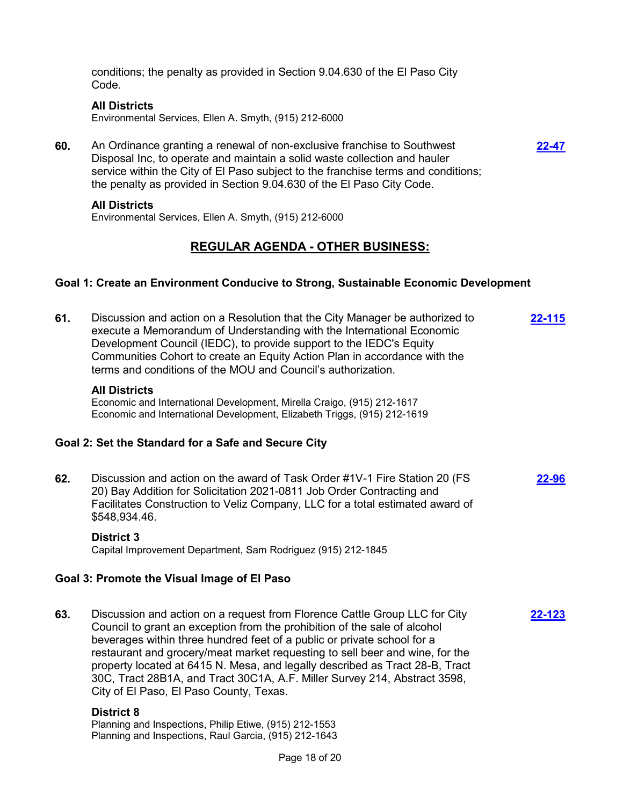conditions; the penalty as provided in Section 9.04.630 of the El Paso City Code.

#### **All Districts**

Environmental Services, Ellen A. Smyth, (915) 212-6000

**60.** An Ordinance granting a renewal of non-exclusive franchise to Southwest Disposal Inc, to operate and maintain a solid waste collection and hauler service within the City of El Paso subject to the franchise terms and conditions; the penalty as provided in Section 9.04.630 of the El Paso City Code.

#### **All Districts**

Environmental Services, Ellen A. Smyth, (915) 212-6000

# **REGULAR AGENDA - OTHER BUSINESS:**

**[22-47](http://elpasotexas.legistar.com/gateway.aspx?m=l&id=/matter.aspx?key=6511)**

## **Goal 1: Create an Environment Conducive to Strong, Sustainable Economic Development**

**61.** Discussion and action on a Resolution that the City Manager be authorized to execute a Memorandum of Understanding with the International Economic Development Council (IEDC), to provide support to the IEDC's Equity Communities Cohort to create an Equity Action Plan in accordance with the terms and conditions of the MOU and Council's authorization. **[22-115](http://elpasotexas.legistar.com/gateway.aspx?m=l&id=/matter.aspx?key=6579)**

## **All Districts**

Economic and International Development, Mirella Craigo, (915) 212-1617 Economic and International Development, Elizabeth Triggs, (915) 212-1619

## **Goal 2: Set the Standard for a Safe and Secure City**

**62.** Discussion and action on the award of Task Order #1V-1 Fire Station 20 (FS 20) Bay Addition for Solicitation 2021-0811 Job Order Contracting and Facilitates Construction to Veliz Company, LLC for a total estimated award of \$548,934.46. **[22-96](http://elpasotexas.legistar.com/gateway.aspx?m=l&id=/matter.aspx?key=6560)**

## **District 3**

Capital Improvement Department, Sam Rodriguez (915) 212-1845

## **Goal 3: Promote the Visual Image of El Paso**

**63.** Discussion and action on a request from Florence Cattle Group LLC for City Council to grant an exception from the prohibition of the sale of alcohol beverages within three hundred feet of a public or private school for a restaurant and grocery/meat market requesting to sell beer and wine, for the property located at 6415 N. Mesa, and legally described as Tract 28-B, Tract 30C, Tract 28B1A, and Tract 30C1A, A.F. Miller Survey 214, Abstract 3598, City of El Paso, El Paso County, Texas. **[22-123](http://elpasotexas.legistar.com/gateway.aspx?m=l&id=/matter.aspx?key=6587)**

#### **District 8**

Planning and Inspections, Philip Etiwe, (915) 212-1553 Planning and Inspections, Raul Garcia, (915) 212-1643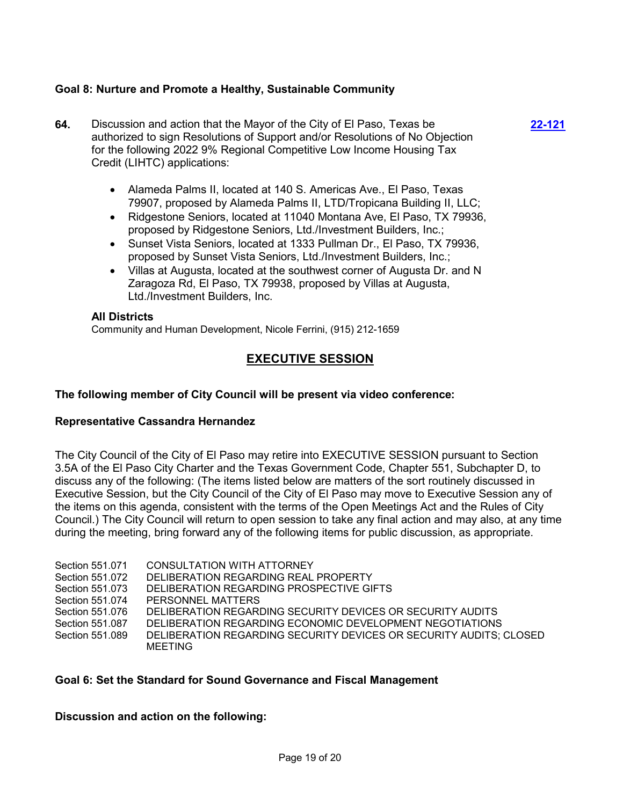## **Goal 8: Nurture and Promote a Healthy, Sustainable Community**

**64.** Discussion and action that the Mayor of the City of El Paso, Texas be authorized to sign Resolutions of Support and/or Resolutions of No Objection for the following 2022 9% Regional Competitive Low Income Housing Tax Credit (LIHTC) applications: **[22-121](http://elpasotexas.legistar.com/gateway.aspx?m=l&id=/matter.aspx?key=6585)**

> · Alameda Palms II, located at 140 S. Americas Ave., El Paso, Texas 79907, proposed by Alameda Palms II, LTD/Tropicana Building II, LLC;

- · Ridgestone Seniors, located at 11040 Montana Ave, El Paso, TX 79936, proposed by Ridgestone Seniors, Ltd./Investment Builders, Inc.;
- · Sunset Vista Seniors, located at 1333 Pullman Dr., El Paso, TX 79936, proposed by Sunset Vista Seniors, Ltd./Investment Builders, Inc.;
- · Villas at Augusta, located at the southwest corner of Augusta Dr. and N Zaragoza Rd, El Paso, TX 79938, proposed by Villas at Augusta, Ltd./Investment Builders, Inc.

## **All Districts**

Community and Human Development, Nicole Ferrini, (915) 212-1659

# **EXECUTIVE SESSION**

## **The following member of City Council will be present via video conference:**

## **Representative Cassandra Hernandez**

The City Council of the City of El Paso may retire into EXECUTIVE SESSION pursuant to Section 3.5A of the El Paso City Charter and the Texas Government Code, Chapter 551, Subchapter D, to discuss any of the following: (The items listed below are matters of the sort routinely discussed in Executive Session, but the City Council of the City of El Paso may move to Executive Session any of the items on this agenda, consistent with the terms of the Open Meetings Act and the Rules of City Council.) The City Council will return to open session to take any final action and may also, at any time during the meeting, bring forward any of the following items for public discussion, as appropriate.

| Section 551.071 | CONSULTATION WITH ATTORNEY                                         |
|-----------------|--------------------------------------------------------------------|
| Section 551.072 | DELIBERATION REGARDING REAL PROPERTY                               |
| Section 551.073 | DELIBERATION REGARDING PROSPECTIVE GIFTS                           |
| Section 551.074 | PERSONNEL MATTERS                                                  |
| Section 551.076 | DELIBERATION REGARDING SECURITY DEVICES OR SECURITY AUDITS         |
| Section 551.087 | DELIBERATION REGARDING ECONOMIC DEVELOPMENT NEGOTIATIONS           |
| Section 551.089 | DELIBERATION REGARDING SECURITY DEVICES OR SECURITY AUDITS; CLOSED |
|                 | MEETING                                                            |

## **Goal 6: Set the Standard for Sound Governance and Fiscal Management**

## **Discussion and action on the following:**